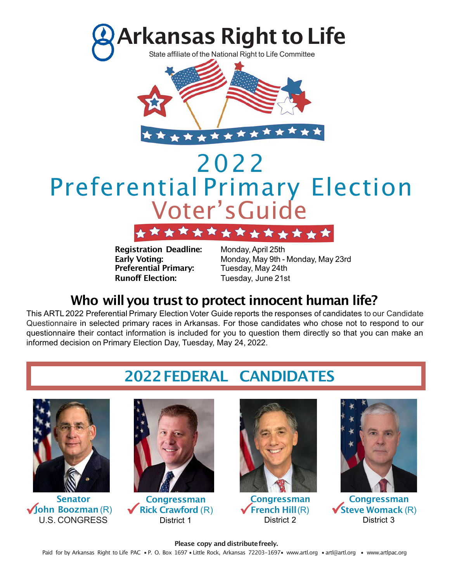



# 2022 Preferential Primary Election Voter's Guide

**Preferential Primary:** Tuesday, May 24th **Runoff Election:** Tuesday, June 21st

**Registration Deadline:** Monday,April 25th **Early Voting:** Monday, May 9th - Monday, May 23rd

# **Who will you trust to protect innocent human life?**

This ARTL 2022 Preferential Primary Election Voter Guide reports the responses of candidates to our Candidate Questionnaire in selected primary races in Arkansas. For those candidates who chose not to respond to our questionnaire their contact information is included for you to question them directly so that you can make an informed decision on Primary Election Day, Tuesday, May 24, 2022.

# **2022FEDERAL CANDIDATES**



**Vohn Boozman** (R) **Senator** U.S. CONGRESS



**Congressman** ✓**Rick Crawford** (R) District 1 Congressman<br>
Rick Crawford (R) ★ French Hill (R) ★ Steve Womack (Integrated According Struct 2<br>
District 2



**Congressman** ✓**French Hill**(R) District 2



◆ Steve Womack (R) District 3

#### **Please copy and distributefreely.** Paid for by Arkansas Right to Life PAC • P. O. Box 1697 • Little Rock, Arkansas 72203-1697• www.artl.org • artl@artl.org • www.artlpac.org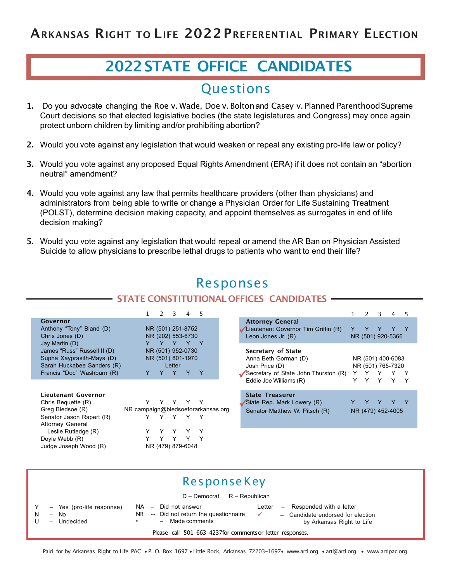### **2020FEDERAL CANDIDATES 2022STATE OFFICE CANDIDATES**

### **Questions**

- **1.** Do you advocate changing the Roe v. Wade, Doe v. Boltonand Casey v. Planned ParenthoodSupreme Court decisions so that elected legislative bodies (the state legislatures and Congress) may once again protect unborn children by limiting and/or prohibiting abortion?
- **2.** Would you vote against any legislation that would weaken or repeal any existing pro-life law or policy?
- **3.** Would you vote against any proposed Equal Rights Amendment (ERA) if it does not contain an "abortion neutral" amendment?
- **4.** Would you vote against any law that permits healthcare providers (other than physicians) and administrators from being able to write or change a Physician Order for Life Sustaining Treatment (POLST), determine decision making capacity, and appoint themselves as surrogates in end of life decision making?
- **5.** Would you vote against any legislation that would repeal or amend the AR Ban on Physician Assisted Suicide to allow physicians to prescribe lethal drugs to patients who want to end their life?

| <b>IZCONOIISCS</b>                                                                                                   |                                                                   |                                                                                                      |                                        |  |  |  |  |  |  |  |
|----------------------------------------------------------------------------------------------------------------------|-------------------------------------------------------------------|------------------------------------------------------------------------------------------------------|----------------------------------------|--|--|--|--|--|--|--|
| <b>STATE CONSTITUTIONAL OFFICES CANDIDATES</b>                                                                       |                                                                   |                                                                                                      |                                        |  |  |  |  |  |  |  |
|                                                                                                                      |                                                                   |                                                                                                      |                                        |  |  |  |  |  |  |  |
|                                                                                                                      | $\overline{2}$<br>3<br>4<br>5                                     |                                                                                                      | $\mathbf{2}$<br>3<br>4<br>5            |  |  |  |  |  |  |  |
| Governor<br>Anthony "Tony" Bland (D)<br>Chris Jones (D)<br>Jay Martin (D)                                            | NR (501) 251-8752<br>NR (202) 553-6730<br>Y<br>Y<br>- Y           | <b>Attorney General</b><br>Lieutenant Governor Tim Griffin (R)<br>Leon Jones Jr. (R)                 | NR (501) 920-5366                      |  |  |  |  |  |  |  |
| James "Russ" Russell II (D)<br>Supha Xayprasith-Mays (D)<br>Sarah Huckabee Sanders (R)<br>Francis "Doc" Washburn (R) | NR (501) 952-0730<br>NR (501) 801-1970<br>Letter<br>Y<br>Y Y<br>Y | Secretary of State<br>Anna Beth Gorman (D)<br>Josh Price (D)<br>Secretary of State John Thurston (R) | NR (501) 400-6083<br>NR (501) 765-7320 |  |  |  |  |  |  |  |
| Lieutenant Governor                                                                                                  |                                                                   | Eddie Joe Williams (R)<br><b>State Treasurer</b>                                                     | Y<br>Υ<br>v<br>Y                       |  |  |  |  |  |  |  |
| Chris Bequette (R)                                                                                                   | Y<br>Y<br>Y                                                       | State Rep. Mark Lowery (R)                                                                           |                                        |  |  |  |  |  |  |  |
| Greg Bledsoe (R)                                                                                                     | NR campaign@bledsoeforarkansas.org                                | Senator Matthew W. Pitsch (R)                                                                        | NR (479) 452-4005                      |  |  |  |  |  |  |  |
| Senator Jason Rapert (R)<br><b>Attorney General</b>                                                                  | Υ<br>Υ<br>Y<br>Y                                                  |                                                                                                      |                                        |  |  |  |  |  |  |  |
| Leslie Rutledge (R)                                                                                                  | Y                                                                 |                                                                                                      |                                        |  |  |  |  |  |  |  |
| Doyle Webb (R)                                                                                                       |                                                                   |                                                                                                      |                                        |  |  |  |  |  |  |  |
| Judge Joseph Wood (R)                                                                                                | NR (479) 879-6048                                                 |                                                                                                      |                                        |  |  |  |  |  |  |  |

**Decnonces** 

|                                                            | ResponseKey                                                                     |                                                                                                                                                                                                                                              |  |  |  |  |  |  |  |
|------------------------------------------------------------|---------------------------------------------------------------------------------|----------------------------------------------------------------------------------------------------------------------------------------------------------------------------------------------------------------------------------------------|--|--|--|--|--|--|--|
|                                                            | $D -$ Democrat $R -$ Republican                                                 |                                                                                                                                                                                                                                              |  |  |  |  |  |  |  |
| Y<br>$\mathsf{N}$                                          | - Yes (pro-life response)<br><b>No</b><br>$\overline{\phantom{0}}$<br>Undecided | Responded with a letter<br>Did not answer<br>Letter<br>NA –<br>$\overline{\phantom{m}}$<br>-- Did not return the questionnaire<br>NR.<br>- Candidate endorsed for election<br>$\checkmark$<br>$-$ Made comments<br>by Arkansas Right to Life |  |  |  |  |  |  |  |
| Please call 501-663-4237 for comments or letter responses. |                                                                                 |                                                                                                                                                                                                                                              |  |  |  |  |  |  |  |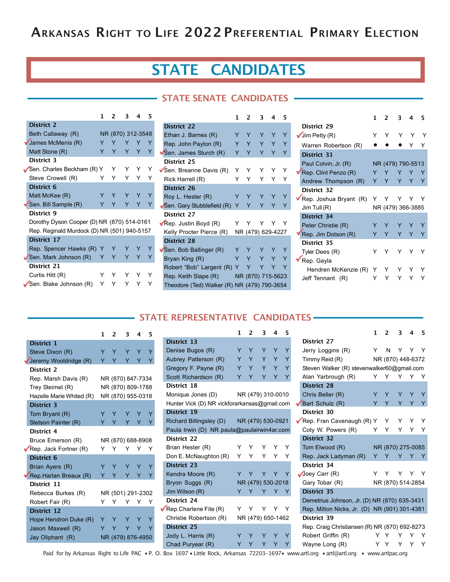# **ARKANSAS RIGHT TO LIFE 2022PREFERENTIAL PRIMARY ELECTION**

# **STATE CANDIDATES**

#### **STATE SENATE CANDIDATES**

|                                             | 1 | 2 | 3                 | 4 | 5 |
|---------------------------------------------|---|---|-------------------|---|---|
| <b>District 2</b>                           |   |   |                   |   |   |
| Beth Callaway (R)                           |   |   | NR (870) 312-3548 |   |   |
| James McMenis (R)                           | Y | Y | Y                 | Y | Y |
| Matt Stone (R)                              | Y | Y | Y.                | Y | Y |
| District 3                                  |   |   |                   |   |   |
| Sen. Charles Beckham (R) Y                  |   | Y | Y                 | Y |   |
| Steve Crowell (R)                           | Y | Y | Y                 | Y | Y |
| District 6                                  |   |   |                   |   |   |
| Matt McKee (R)                              | Y | Y | Υ                 | Υ | Y |
| Sen. Bill Sample (R)                        | Y | Y | Y                 | Y | Y |
| District 9                                  |   |   |                   |   |   |
| Dorothy Dyson Cooper (D) NR (870) 514-0161  |   |   |                   |   |   |
| Rep. Reginald Murdock (D) NR (501) 940-5157 |   |   |                   |   |   |
| District 17                                 |   |   |                   |   |   |
| Rep. Spencer Hawks (R)                      | Y | Y | Y                 |   | Y |
| Sen. Mark Johnson (R)                       | Y | Y | Y                 | Y | Y |
| District 21                                 |   |   |                   |   |   |
| Curtis Hitt (R)                             | Y |   | Y                 |   |   |
| Sen. Blake Johnson (R)                      | Y |   |                   |   |   |

|                                             | 1  | 2                 | 3  | 4 | 5 |
|---------------------------------------------|----|-------------------|----|---|---|
| <b>District 22</b>                          |    |                   |    |   |   |
| Ethan J. Barnes (R)                         | Y  | Y                 | Y  | Y | Y |
| Rep. John Payton (R)                        | Y. | Y                 | Y. | Y | Y |
| Sen. James Sturch (R)                       | Y  | Y                 | Y  | Y | Y |
| District 25                                 |    |                   |    |   |   |
| Sen. Breanne Davis (R)                      | Y. | Y                 | Y  | Υ | Y |
| Rick Harrell (R)                            | Y  | Y                 | Y  | Y | Υ |
| <b>District 26</b>                          |    |                   |    |   |   |
| Roy L. Hester (R)                           | Y  | Y                 | Y  | Y | Y |
| Sen. Gary Stubblefield (R)                  | Y  | Y                 | Y  | Y | Y |
| District 27                                 |    |                   |    |   |   |
| $\sqrt{R}$ ep. Justin Boyd (R)              | Y. | Y                 | Y. | Y | Y |
| Kelly Procter Pierce (R)                    |    | NR (479) 629-4227 |    |   |   |
| <b>District 28</b>                          |    |                   |    |   |   |
| Sen. Bob Ballinger (R)                      | Y  | Y                 | Y  | Y | Y |
| Bryan King (R)                              | Y  | Y                 | Y  | Y | Ÿ |
| Robert "Bob" Largent (R) Y                  |    | Y                 | Y  |   | Y |
| Rep. Keith Slape (R)                        |    | NR (870) 715-5623 |    |   |   |
| Theodore (Ted) Walker (R) NR (479) 790-3654 |    |                   |    |   |   |

|                        | 1 | 2 | ર                 |   | 5 |
|------------------------|---|---|-------------------|---|---|
| District 29            |   |   |                   |   |   |
| Jim Petty (R)          | Y | Y | Y                 | Υ |   |
| Warren Robertson (R)   |   |   |                   |   |   |
| <b>District 31</b>     |   |   |                   |   |   |
| Paul Colvin, Jr. (R)   |   |   | NR (479) 790-5513 |   |   |
| Rep. Clint Penzo (R)   | Y | Y | Y                 | Y | Y |
| Andrew Thompson (R)    | Y | Y | Y                 | Y | Y |
| District 32            |   |   |                   |   |   |
| Rep. Joshua Bryant (R) |   |   | Y                 | Y |   |
| Jim Tull $(R)$         |   |   | NR (479) 366-3885 |   |   |
| <b>District 34</b>     |   |   |                   |   |   |
| Peter Christie (R)     |   | Y |                   |   |   |
| Rep. Jim Dotson (R)    | Y | Y | Y                 | Y | Y |
| District 35            |   |   |                   |   |   |
| Tyler Dees (R)         |   | Y | Y                 | Y |   |
| Rep. Gayla             |   |   |                   |   |   |
| Hendren McKenzie (R)   | Y |   |                   |   |   |
| Jeff Tennant (R)       |   |   |                   |   |   |

#### **STATE REPRESENTATIVE CANDIDATES**

|                          | 1 | 2 | ٦                 | 4 | 5 |
|--------------------------|---|---|-------------------|---|---|
| District 1               |   |   |                   |   |   |
| Steve Dixon (R)          | Y | Y | Y                 | Y | Y |
| Jeremy Wooldridge (R)    | Ÿ | Y | Y                 | Y | Y |
| District 2               |   |   |                   |   |   |
| Rep. Marsh Davis (R)     |   |   | NR (870) 847-7334 |   |   |
| Trey Steimel (R)         |   |   | NR (870) 809-1788 |   |   |
| Hazelle Marie Whited (R) |   |   | NR (870) 955-0318 |   |   |
| <b>District 3</b>        |   |   |                   |   |   |
| Tom Bryant (R)           | Y | Y | Y                 | Y | Y |
| Stetson Painter (R)      | Y | Y | Y                 | Y | Y |
| District 4               |   |   |                   |   |   |
| Bruce Emerson (R)        |   |   | NR (870) 688-8908 |   |   |
| Rep. Jack Fortner (R)    | Y | Y | Y                 | Υ | Y |
| <b>District 6</b>        |   |   |                   |   |   |
| Brian Ayers (R)          | Y | Y | Y                 | Y | Y |
| Rep. Harlan Breaux (R)   | Y | Y | Y                 | Y | Y |
| District 11              |   |   |                   |   |   |
| Rebecca Burkes (R)       |   |   | NR (501) 291-2302 |   |   |
| Robert Fair (R)          | Y | Y | Y                 | Y | Y |
| <b>District 12</b>       |   |   |                   |   |   |
| Hope Hendron Duke (R)    | Y | Y | Y                 |   | Y |
| Jason Maxwell (R)        | Y |   | Y                 | Y |   |
| Jay Oliphant (R)         |   |   | NR (479) 876-4950 |   |   |

|                                              | 1  | $\overline{2}$ | 3                 | 4   | 5 |
|----------------------------------------------|----|----------------|-------------------|-----|---|
| <b>District 13</b>                           |    |                |                   |     |   |
| Denise Bugos (R)                             | Y  | Y              | Y                 | Y   | Y |
| Aubrey Patterson (R)                         |    | Y Y            |                   | Y Y | Ÿ |
| Gregory F. Payne (R)                         |    | Y Y            |                   | Y Y | Y |
| Scott Richardson (R)                         | Y  | Y              | Y                 | Ÿ   | Y |
| District 18                                  |    |                |                   |     |   |
| Monique Jones (D)                            |    |                | NR (479) 310-0010 |     |   |
| Hunter Vick (D) NR vickforarkansas@gmail.com |    |                |                   |     |   |
| <b>District 19</b>                           |    |                |                   |     |   |
| Richard Billingsley (D)                      |    |                | NR (479) 530-0921 |     |   |
| Paula Irwin (D) NR paula@paulairwin4ar.com   |    |                |                   |     |   |
| District 22                                  |    |                |                   |     |   |
| Brian Hester (R)                             | Y. | Y              | Y Y               |     | Y |
| Don E. McNaughton (R)                        | Y. | $\mathsf{Y}$   |                   | Y Y | Υ |
| <b>District 23</b>                           |    |                |                   |     |   |
| Kendra Moore (R)                             | Y. | Υ              | Y Y               |     | Y |
| Bryon Suggs (R)                              |    |                | NR (479) 530-2018 |     |   |
| Jim Wilson (R)                               | Y  | Y              | Y                 | Y   | Y |
| District 24                                  |    |                |                   |     |   |
| Rep. Charlene Fite $(R)$                     | Y  | Y              | Y Y               |     | Y |
| Christie Robertson (R)                       |    |                | NR (479) 650-1462 |     |   |
| <b>District 25</b>                           |    |                |                   |     |   |
| Jody L. Harris (R)                           | Y  | Y              | Y                 | Y   | Y |
| Chad Puryear (R)                             | Y  | Y              | Y                 | Y   | Y |

|                                               | 1   | $\overline{2}$ | 3                 | 4              | 5 |
|-----------------------------------------------|-----|----------------|-------------------|----------------|---|
| District 27                                   |     |                |                   |                |   |
| Jerry Loggins (R)                             | Y   | N              | Y Y Y             |                |   |
| Timmy Reid (R)                                |     |                | NR (870) 448-6372 |                |   |
| Steven Walker (R) stevenwalker60@gmail.com    |     |                |                   |                |   |
| Alan Yarbrough (R)                            | Y   | Y              | Y                 | Y              | Y |
| <b>District 28</b>                            |     |                |                   |                |   |
| Chris Beller (R)                              |     | Y Y            |                   | Y Y            | Y |
| Bart Schulz (R)                               | Y.  | Y.             | Y.                | $\overline{Y}$ | Y |
| District 30                                   |     |                |                   |                |   |
| Rep. Fran Cavenaugh (R) Y Y Y Y Y             |     |                |                   |                |   |
| Coty W. Powers (R)                            |     | Y Y            | Y.                | Y              | Y |
| <b>District 32</b>                            |     |                |                   |                |   |
| Tom Elwood (R)                                |     |                | NR (870) 275-0085 |                |   |
| Rep. Jack Ladyman (R)                         | Y   | Y              | Y                 | Y              | Y |
| District 34                                   |     |                |                   |                |   |
| $\sqrt{\log Q}$ Carr (R)                      | Y   | Y              |                   | Y Y Y          |   |
| Gary Tobar (R)                                |     |                | NR (870) 514-2854 |                |   |
| <b>District 35</b>                            |     |                |                   |                |   |
| Demetrius Johnson, Jr. (D) NR (870) 635-3431  |     |                |                   |                |   |
| Rep. Milton Nicks, Jr. (D) NR (901) 301-4381  |     |                |                   |                |   |
| District 39                                   |     |                |                   |                |   |
| Rep. Craig Christiansen (R) NR (870) 692-8273 |     |                |                   |                |   |
| Robert Griffin (R)                            | Y.  | Υ              | Y                 | Y              | Y |
| Wayne Long (R)                                | Y Y |                | Y                 | - Y            | Υ |
| wartlere sert@ortlere                         |     |                | $\frac{1}{2}$     |                |   |

Paid for by Arkansas Right to Life PAC • P. O. Box 1697 • Little Rock, Arkansas 72203-1697• www.artl.org • artl@artl.org • www.artlpac.org